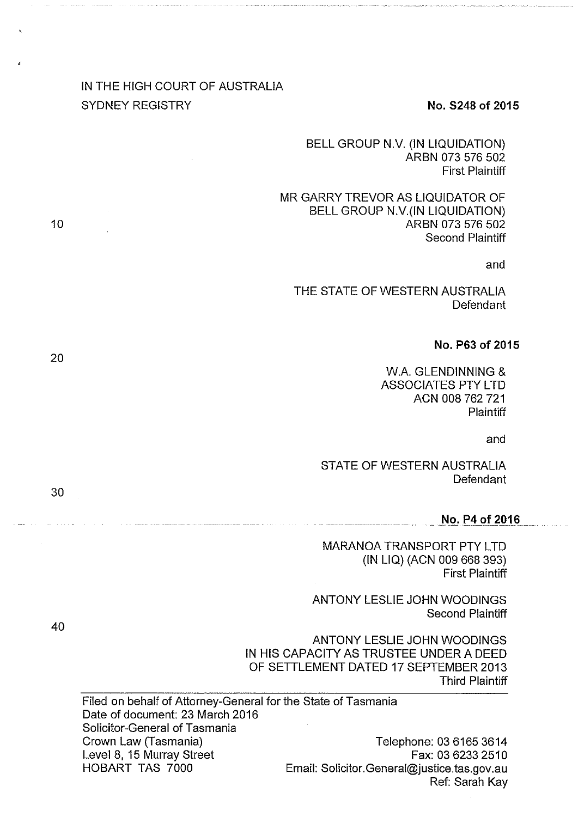# IN THE HIGH COURT OF AUSTRALIA SYDNEY REGISTRY **No. 5248 of 2015**

BELL GROUP N.V. (IN LIQUIDATION) ARBN 073 576 502 First Plaintiff

MR GARRY TREVOR AS LIQUIDATOR OF BELL GROUP N.V.(IN LIQUIDATION) ARBN 073 576 502 Second Plaintiff

and

THE STATE OF WESTERN AUSTRALIA **Defendant** 

#### **No. P63 of 2015**

W.A. GLENDINNING & ASSOCIATES PTY LTD ACN 008 762 721 **Plaintiff** 

and

STATE OF WESTERN AUSTRALIA **Defendant** 

#### $No. P4 of 2016$

MARANOA TRANSPORT PTY LTD (IN LIQ) (ACN 009 668 393) First Plaintiff

ANTONY LESLIE JOHN WOODINGS Second Plaintiff

ANTONY LESLIE JOHN WOODINGS IN HIS CAPACITY AS TRUSTEE UNDER A DEED OF SETTLEMENT DATED 17 SEPTEMBER 2013 Third Plaintiff

Filed on behalf of Attorney-General for the State of Tasmania Date of document: 23 March 2016 Solicitor-General of Tasmania Crown Law (Tasmania) Level 8, 15 Murray Street HOBART TAS 7000 Telephone: 03 6165 3614 Fax: 03 6233 2510 Email: Solicitor.General@justice.tas.gov.au Ref: Sarah Kay

40

30

10

20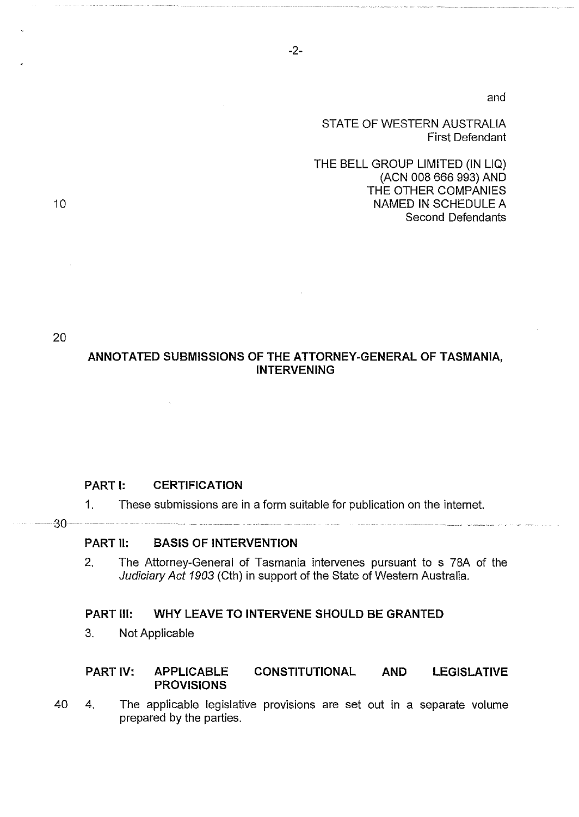and

#### STATE OF WESTERN AUSTRALIA First Defendant

THE BELL GROUP LIMITED (IN LIQ) (ACN 008 666 993) AND THE OTHER COMPANIES NAMED IN SCHEDULE A Second Defendants

20

 $-30-$ 

10

# **ANNOTATED SUBMISSIONS OF THE ATTORNEY-GENERAL OF TASMANIA, INTERVENING**

#### **PART 1: CERTIFICATION**

1. These submissions are in a form suitable for publication on the internet.

#### **PART 11: BASIS OF INTERVENTION**

<u>an an san an an an an an an an an an a</u>

2. The Attorney-General of Tasmania intervenes pursuant to s 78A of the Judiciary Act 1903 (Cth) in support of the State of Western Australia.

### **PART Ill: WHY LEAVE TO INTERVENE SHOULD BE GRANTED**

3. Not Applicable

### **PART IV: APPLICABLE CONSTITUTIONAL AND LEGISLATIVE PROVISIONS**

40 4. The applicable legislative provisions are set out in a separate volume prepared by the parties.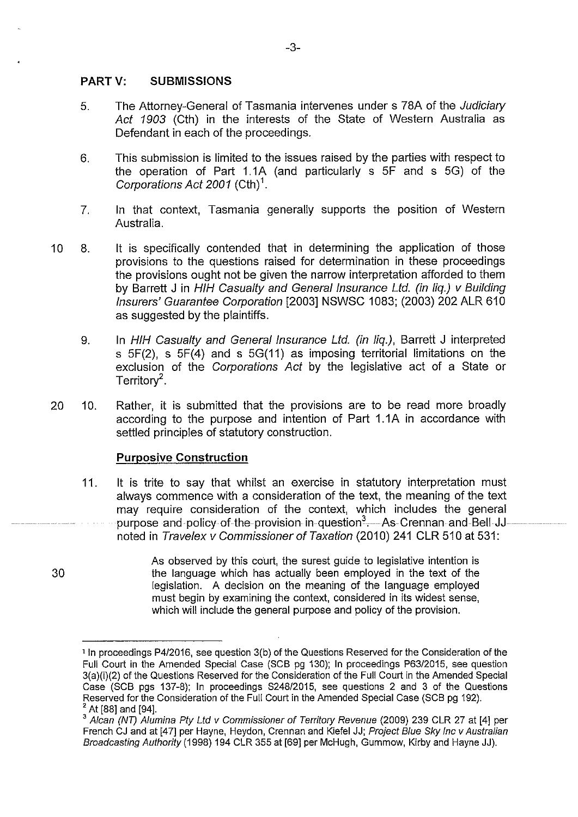#### **PART V: SUBMISSIONS**

- 5. The Attorney-General of Tasmania intervenes under s 78A of the Judiciary Act 1903 (Cth) in the interests of the State of Western Australia as Defendant in each of the proceedings.
- 6. This submission is limited to the issues raised by the parties with respect to the operation of Part 1.1A (and particularly s SF and s SG) of the Corporations Act 2001 (Cth)<sup>1</sup>.
- 7. In that context, Tasmania generally supports the position of Western Australia.
- 10 8. lt is specifically contended that in determining the application of those provisions to the questions raised for determination in these proceedings the provisions ought not be given the narrow interpretation afforded to them by Barrett J in HIH Casualty and General Insurance Ltd. (in lig.) v Building Insurers' Guarantee Corporation [2003] NSWSC 1083; (2003) 202 ALR 610 as suggested by the plaintiffs.
	- 9. In HIH Casualty and General Insurance Ltd. (in liq.), Barrett J interpreted s 5F(2), s 5F(4) and s 5G(11) as imposing territorial limitations on the exclusion of the Corporations Act by the legislative act of a State or Territor $v^2$ .
- 20 10. Rather, it is submitted that the provisions are to be read more broadly according to the purpose and intention of Part 1.1A in accordance with settled principles of statutory construction.

### **Purposive Construction**

- 11. lt is trite to say that whilst an exercise in statutory interpretation must always commence with a consideration of the text, the meaning of the text may require consideration of the context, which includes the general purpose and policy of the provision in question<sup>3</sup>. As Crennan and Bell JJ... noted in Travelex v Commissioner of Taxation (2010) 241 CLR 510 at 531:
	- As observed by this court, the surest guide to legislative intention is the language which has actually been employed in the text of the legislation. A decision on the meaning of the language employed must begin by examining the context, considered in its widest sense, which will include the general purpose and policy of the provision.

30

<sup>&</sup>lt;sup>1</sup> In proceedings P4/2016, see question 3(b) of the Questions Reserved for the Consideration of the Full Court in the Amended Special Case (SCB pg 130); In proceedings P63/2015, see question 3(a)(i)(2) of the Questions Reserved for the Consideration of the Full Court in the Amended Special Case (SCB pgs 137-8); In proceedings 8248/2015, see questions 2 and 3 of the Questions Reserved for the Consideration of the Full Court in the Amended Special Case (SCB pg 192).

<sup>&</sup>lt;sup>2</sup> At [88] and [94].<br><sup>3</sup> Alcan (NT) Alumina Pty Ltd v Commissioner of Territory Revenue (2009) 239 CLR 27 at [4] per French CJ and at [47] per Hayne, Heydon, Crennan and Kiefel JJ; Project Blue Sky Inc v Australian Broadcasting Authority (1998) 194 CLR 355 at [69] per McHugh, Gummow, Kirby and Hayne JJ).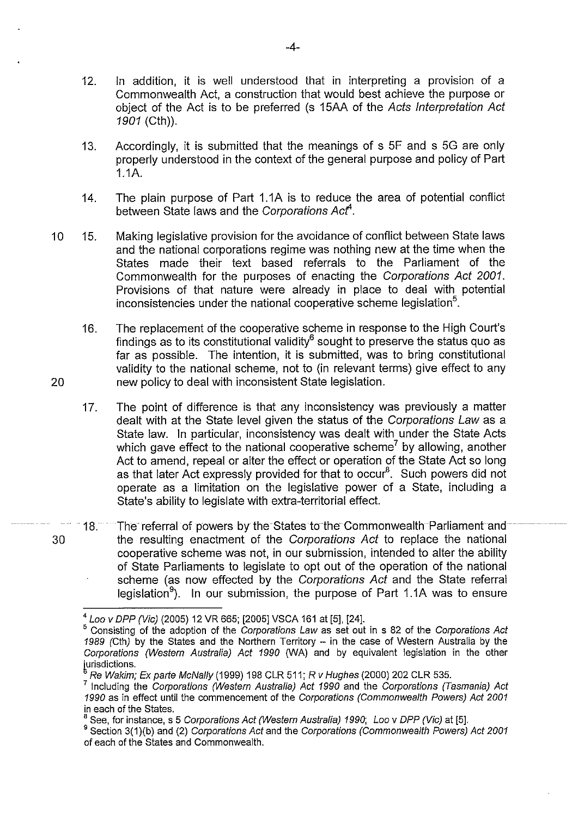- 12. In addition, it is well understood that in interpreting a provision of a Commonwealth Act, a construction that would best achieve the purpose or object of the Act is to be preferred (s 15AA of the Acts Interpretation Act 1901 (Cth)).
- 13. Accordingly, it is submitted that the meanings of s 5F and s 5G are only properly understood in the context of the general purpose and policy of Part 1.1A.
- 14. The plain purpose of Part 1.1A is to reduce the area of potential conflict between State laws and the Corporations Act<sup>4</sup>.
- 10 15. Making legislative provision for the avoidance of conflict between State laws and the national corporations regime was nothing new at the time when the States made their text based referrals to the Parliament of the Commonwealth for the purposes of enacting the Corporations Act 2001. Provisions of that nature were already in place to deal with potential inconsistencies under the national cooperative scheme legislation<sup>5</sup>.
- 16. The replacement of the cooperative scheme **in** response to the High Court's findings as to its constitutional validity<sup>6</sup> sought to preserve the status quo as far as possible. The intention, it is submitted, was to bring constitutional validity to the national scheme, not to **(in** relevant terms) give effect to any 20 new policy to deal with inconsistent State legislation.
	- 17. The point of difference is that any inconsistency was previously a matter dealt with at the State level given the status of the Corporations Law as a State law. In particular, inconsistency was dealt with under the State Acts which gave effect to the national cooperative scheme<sup>7</sup> by allowing, another Act to amend, repeal or alter the effect or operation of the State Act so long as that later Act expressly provided for that to occur<sup>8</sup>. Such powers did not operate as a limitation on the legislative power of a State, including a State's ability to legislate with extra-territorial effect.
- 18. The referral of powers by the States to the Commonwealth Parliament and 30 the resulting enactment of the Corporations Act to replace the national cooperative scheme was not, **in** our submission, intended to alter the ability of State Parliaments to legislate to opt out of the operation of the national scheme (as now effected by the Corporations Act and the State referral legislation<sup>9</sup>). In our submission, the purpose of Part 1.1A was to ensure

<sup>4</sup>Loo v DPP (Vie) (2005) 12 VR 665; [2005] VSCA 161 at [5], [24].

<sup>&</sup>lt;sup>5</sup> Consisting of the adoption of the Corporations Law as set out in s 82 of the Corporations Act 1989 (Cth) by the States and the Northern Territory - in the case of Western Australia by the Corporations (Western Australia) Act 1990 (WA) and by equivalent legislation in the other iurisdictions.

Re Wakim; Ex parte McNal/y (1999) 198 CLR 511; R v Hughes (2000) 202 CLR 535.

<sup>&</sup>lt;sup>7</sup> Including the Corporations (Western Australia) Act 1990 and the Corporations (Tasmania) Act 1990 as in effect until the commencement of the Corporations (Commonwealth Powers) Act 2001 in each of the States.

See, for instance, s 5 Corporations Act (Western Australia) 1990; Loo v DPP (Vic) at [5].

<sup>&</sup>lt;sup>9</sup> Section 3(1)(b) and (2) Corporations Act and the Corporations (Commonwealth Powers) Act 2001 of each of the States and Commonwealth.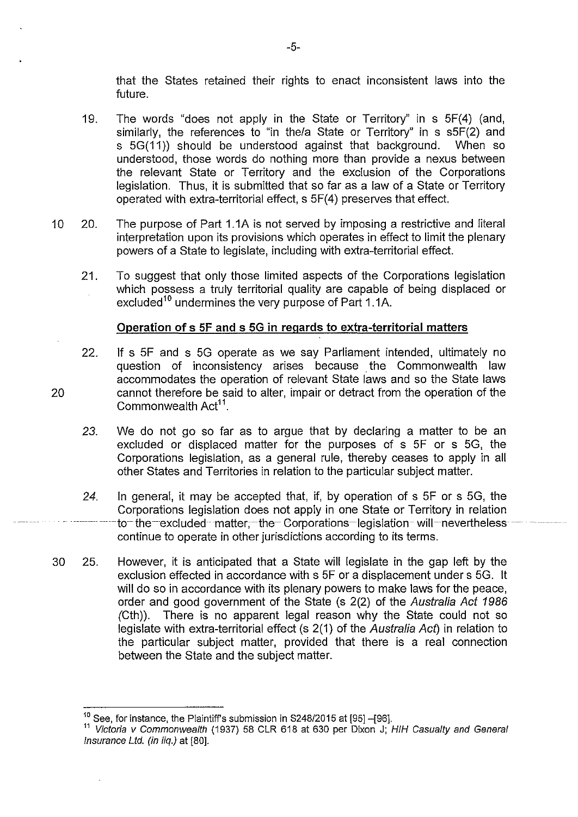that the States retained their rights to enact inconsistent laws into the future.

- 19. The words "does not apply in the State or Territory" in s 5F(4) (and, similarly, the references to "in the/a State or Territory" in s s5F(2) and s 5G(11)) should be understood against that background. When so understood, those words do nothing more than provide a nexus between the relevant State or Territory and the exclusion of the Corporations legislation. Thus, it is submitted that so far as a law of a State or Territory operated with extra-territorial effect, s 5F(4) preserves that effect.
- 10 20. The purpose of Part 1.1A is not served by imposing a restrictive and literal interpretation upon its provisions which operates in effect to limit the plenary powers of a State to legislate, including with extra-territorial effect.
	- 21. To suggest that only those limited aspects of the Corporations legislation which possess a truly territorial quality are capable of being displaced or excluded<sup>10</sup> undermines the very purpose of Part 1.1A.

### **Operation of s 5F and s 5G in regards to extra-territorial matters**

- 22. If s 5F and s 5G operate as we say Parliament intended, ultimately no question of inconsistency arises because the Commonwealth law accommodates the operation of relevant State laws and so the State laws 20 cannot therefore be said to alter, impair or detract from the operation of the Commonwealth Act<sup>11</sup>.
	- *23.* We do not go so far as to argue that by declaring a matter to be an excluded or displaced matter for the purposes of s 5F or s 5G, the Corporations legislation, as a general rule, thereby ceases to apply in all other States and Territories in relation to the particular subject matter.
	- 24. In general, it may be accepted that, if, by operation of s 5F or s 5G, the Corporations legislation does not apply in one State or Territory in relation to the excluded matter, the Corporations legislation will nevertheless continue to operate in other jurisdictions according to its terms.
- 30 25. However, it is anticipated that a State will legislate in the gap left by the exclusion effected in accordance with s 5F or a displacement under s 5G. lt will do so in accordance with its plenary powers to make laws for the peace, order and good government of the State (s 2(2) of the Australia Act 1986 (Cth)). There is no apparent legal reason why the State could not so legislate with extra-territorial effect (s 2(1) of the Australia Act) in relation to the particular subject matter, provided that there is a real connection between the State and the subject matter.

-5-

 $10$  See, for instance, the Plaintiff's submission in S248/2015 at [95] -[96].

<sup>&</sup>lt;sup>11</sup> Victoria v Commonwealth (1937) 58 CLR 618 at 630 per Dixon J; HIH Casualty and General Insurance Ltd. (in liq.) at [80].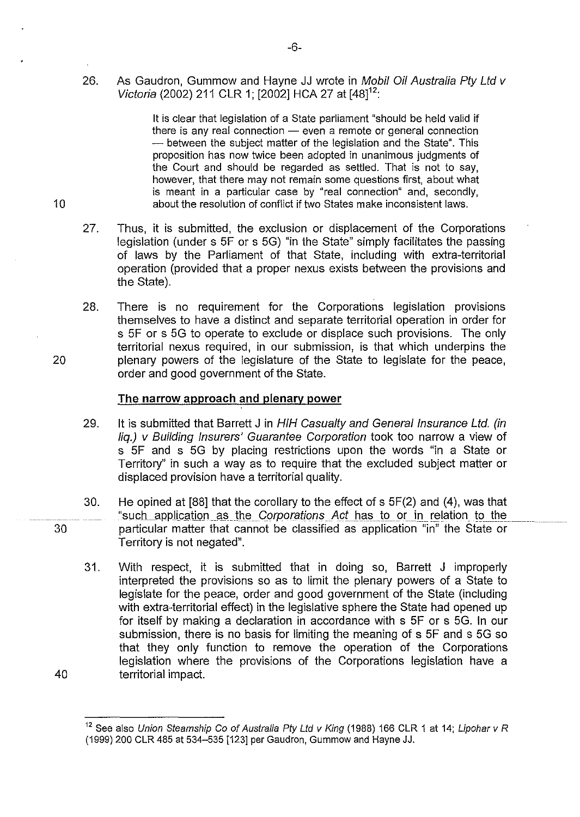26. As Gaudron, Gummow and Hayne JJ wrote in Mobil Oil Australia Pty Ltd v Victoria (2002) 211 CLR 1: [2002] HCA 27 at [48]<sup>12</sup>:

lt is clear that legislation of a State parliament "should be held valid if there is any real connection  $-$  even a remote or general connection - between the subject matter of the legislation and the State". This proposition has now twice been adopted in unanimous judgments of the Court and should be regarded as settled. That is not to say, however, that there may not remain some questions first, about what is meant in a particular case by "real connection" and, secondly, 10 about the resolution of conflict if two States make inconsistent laws.

- 27. Thus, it is submitted, the exclusion or displacement of the Corporations legislation (under s 5F or s 5G) "in the State" simply facilitates the passing of laws by the Parliament of that State, including with extra-territorial operation (provided that a proper nexus exists between the provisions and the State).
- 28. There is no requirement for the Corporations legislation provisions themselves to have a distinct and separate territorial operation in order for s 5F or s 5G to operate to exclude or displace such provisions. The only territorial nexus required, in our submission, is that which underpins the 20 plenary powers of the legislature of the State to legislate for the peace, order and good government of the State.

#### **The narrow approach and plenary power**

- 29. It is submitted that Barrett J in HIH Casualty and General Insurance Ltd. (in liq.) v Building Insurers' Guarantee Corporation took too narrow a view of s 5F and s 5G by placing restrictions upon the words "in a State or Territory" in such a way as to require that the excluded subject matter or displaced provision have a territorial quality.
- 30. He opined at [88] that the corollary to the effect of s 5F(2) and (4), was that "such application as the Corporations Act has to or in relation to the particular matter that cannot be classified as application "in" the State or Territory is not negated".
- 31. With respect, it is submitted that in doing so, Barrett J improperly interpreted the provisions so as to limit the plenary powers of a State to legislate for the peace, order and good government of the State (including with extra-territorial effect) in the legislative sphere the State had opened up for itself by making a declaration in accordance with s 5F or s 5G. In our submission, there is no basis for limiting the meaning of s 5F and s 5G so that they only function to remove the operation of the Corporations legislation where the provisions of the Corporations legislation have a 40 territorial impact.

30

<sup>&</sup>lt;sup>12</sup> See also Union Steamship Co of Australia Pty Ltd v King (1988) 166 CLR 1 at 14; Lipohar v R (1999) 200 CLR 485 at 534-535 [123] per Gaudron, Gummow and Hayne JJ.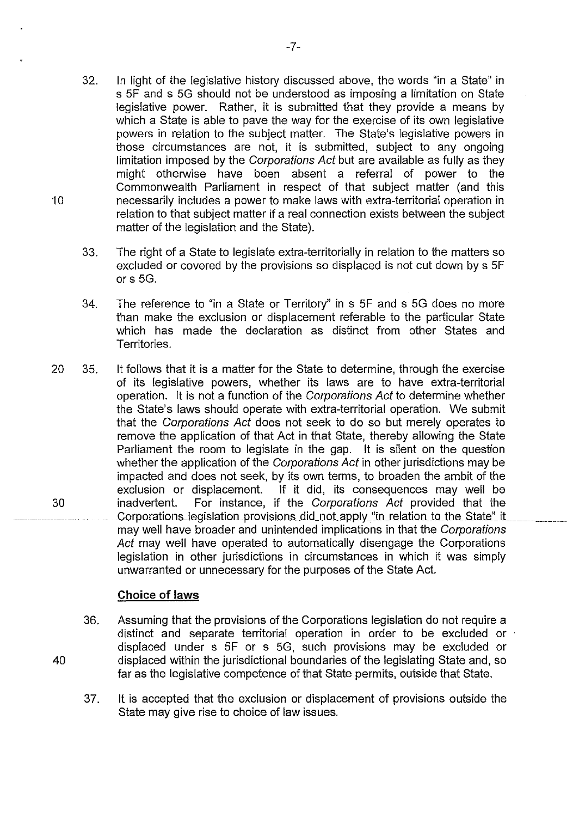- 32. In light of the legislative history discussed above, the words "in a State" in s SF and s SG should not be understood as imposing a limitation on State legislative power. Rather, it is submitted that they provide a means by which a State is able to pave the way for the exercise of its own legislative powers in relation to the subject matter. The State's legislative powers in those circumstances are not, it is submitted, subject to any ongoing limitation imposed by the Corporations Act but are available as fully as they might otherwise have been absent a referral of power to the Commonwealth Parliament in respect of that subject matter (and this 10 necessarily includes a power to make laws with extra-territorial operation in relation to that subject matter if a real connection exists between the subject matter of the legislation and the State).
	- 33. The right of a State to legislate extra-territorially in relation to the matters so excluded or covered by the provisions so displaced is not cut down by s SF or s SG.
	- 34. The reference to "in a State or Territory" in s SF and s SG does no more than make the exclusion or displacement referable to the particular State which has made the declaration as distinct from other States and Territories.
- 20 3S. lt follows that it is a matter for the State to determine, through the exercise of its legislative powers, whether its laws are to have extra-territorial operation. lt is not a function of the Corporations Act to determine whether the State's laws should operate with extra-territorial operation. We submit that the Corporations Act does not seek to do so but merely operates to remove the application of that Act in that State, thereby allowing the State Parliament the room to legislate in the gap. lt is silent on the question whether the application of the Corporations Act in other jurisdictions may be impacted and does not seek, by its own terms, to broaden the ambit of the exclusion or displacement. If it did, its consequences may well be 30 inadvertent. For instance, if the Corporations Act provided that the Corporations\_legislation\_provisions\_did\_not\_apply\_"in\_relation\_to\_the\_State" it may well have broader and unintended implications in that the Corporations Act may well have operated to automatically disengage the Corporations legislation in other jurisdictions in circumstances in which it was simply unwarranted or unnecessary for the purposes of the State Act.

# **Choice of laws**

- 36. Assuming that the provisions of the Corporations legislation do not require a distinct and separate territorial operation in order to be excluded or displaced under s SF or s SG, such provisions may be excluded or 40 displaced within the jurisdictional boundaries of the legislating State and, so far as the legislative competence of that State permits, outside that State.
	- 37. lt is accepted that the exclusion or displacement of provisions outside the State may give rise to choice of law issues.

-7-